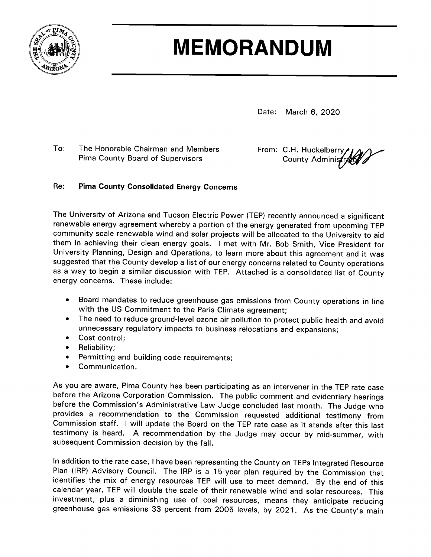

# **MEMORANDUM**

Date: March 6, 2020

 $To:$ The Honorable Chairman and Members Pima County Board of Supervisors

From: C.H. Huckelberry County Administra

#### Re: **Pima County Consolidated Energy Concerns**

The University of Arizona and Tucson Electric Power (TEP) recently announced a significant renewable energy agreement whereby a portion of the energy generated from upcoming TEP community scale renewable wind and solar projects will be allocated to the University to aid them in achieving their clean energy goals. I met with Mr. Bob Smith, Vice President for University Planning, Design and Operations, to learn more about this agreement and it was suggested that the County develop a list of our energy concerns related to County operations as a way to begin a similar discussion with TEP. Attached is a consolidated list of County energy concerns. These include:

- Board mandates to reduce greenhouse gas emissions from County operations in line  $\bullet$ with the US Commitment to the Paris Climate agreement;
- The need to reduce ground-level ozone air pollution to protect public health and avoid  $\bullet$ unnecessary regulatory impacts to business relocations and expansions;
- Cost control:  $\bullet$
- Reliability;  $\bullet$
- Permitting and building code requirements;  $\bullet$
- $\bullet$ Communication.

As you are aware, Pima County has been participating as an intervener in the TEP rate case before the Arizona Corporation Commission. The public comment and evidentiary hearings before the Commission's Administrative Law Judge concluded last month. The Judge who provides a recommendation to the Commission requested additional testimony from Commission staff. I will update the Board on the TEP rate case as it stands after this last testimony is heard. A recommendation by the Judge may occur by mid-summer, with subsequent Commission decision by the fall.

In addition to the rate case, I have been representing the County on TEPs Integrated Resource Plan (IRP) Advisory Council. The IRP is a 15-year plan required by the Commission that identifies the mix of energy resources TEP will use to meet demand. By the end of this calendar year, TEP will double the scale of their renewable wind and solar resources. This investment, plus a diminishing use of coal resources, means they anticipate reducing greenhouse gas emissions 33 percent from 2005 levels, by 2021. As the County's main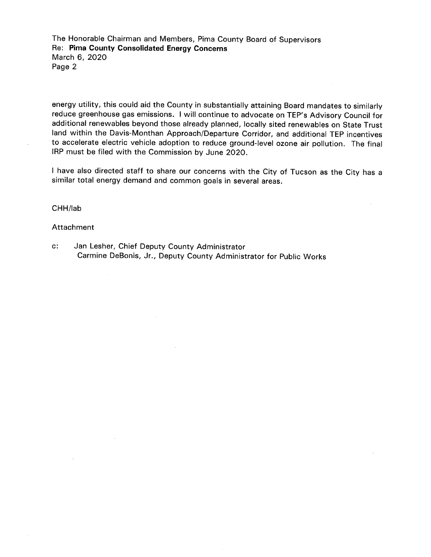The Honorable Chairman and Members, Pima County Board of Supervisors Re: Pima County Consolidated Energy Concerns March 6, 2020 Page 2

energy utility, this could aid the County in substantially attaining Board mandates to similarly reduce greenhouse gas emissions. I will continue to advocate on TEP's Advisory Council for additional renewables beyond those already planned, locally sited renewables on State Trust land within the Davis-Monthan Approach/Departure Corridor, and additional TEP incentives to accelerate electric vehicle adoption to reduce ground-level ozone air pollution. The final IRP must be filed with the Commission by June 2020.

I have also directed staff to share our concerns with the City of Tucson as the City has a similar total energy demand and common goals in several areas.

# CHH/lab

# Attachment

Jan Lesher, Chief Deputy County Administrator  $\mathbf{c}$ : Carmine DeBonis, Jr., Deputy County Administrator for Public Works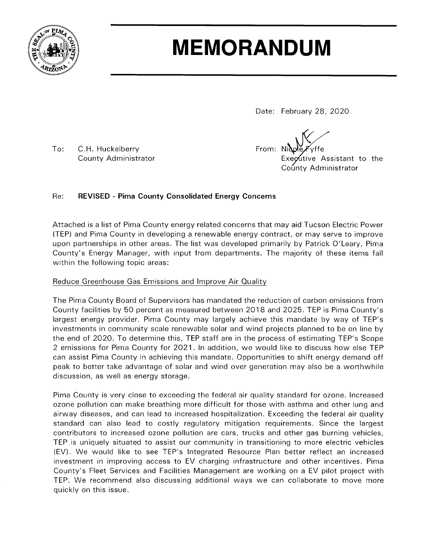

# **MEMORANDUM**

Date: February 28, 2020

 $To:$ C.H. Huckelberry **County Administrator** 

From: Nide yffe Executive Assistant to the County Administrator

#### Re: **REVISED - Pima County Consolidated Energy Concerns**

Attached is a list of Pima County energy related concerns that may aid Tucson Electric Power (TEP) and Pima County in developing a renewable energy contract, or may serve to improve upon partnerships in other areas. The list was developed primarily by Patrick O'Leary, Pima County's Energy Manager, with input from departments. The majority of these items fall within the following topic areas:

# Reduce Greenhouse Gas Emissions and Improve Air Quality

The Pima County Board of Supervisors has mandated the reduction of carbon emissions from County facilities by 50 percent as measured between 2018 and 2025. TEP is Pima County's largest energy provider. Pima County may largely achieve this mandate by way of TEP's investments in community scale renewable solar and wind projects planned to be on line by the end of 2020. To determine this, TEP staff are in the process of estimating TEP's Scope 2 emissions for Pima County for 2021. In addition, we would like to discuss how else TEP can assist Pima County in achieving this mandate. Opportunities to shift energy demand off peak to better take advantage of solar and wind over generation may also be a worthwhile discussion, as well as energy storage.

Pima County is very close to exceeding the federal air quality standard for ozone. Increased ozone pollution can make breathing more difficult for those with asthma and other lung and airway diseases, and can lead to increased hospitalization. Exceeding the federal air quality standard can also lead to costly regulatory mitigation requirements. Since the largest contributors to increased ozone pollution are cars, trucks and other gas burning vehicles, TEP is uniquely situated to assist our community in transitioning to more electric vehicles (EV). We would like to see TEP's Integrated Resource Plan better reflect an increased investment in improving access to EV charging infrastructure and other incentives. Pima County's Fleet Services and Facilities Management are working on a EV pilot project with TEP. We recommend also discussing additional ways we can collaborate to move more quickly on this issue.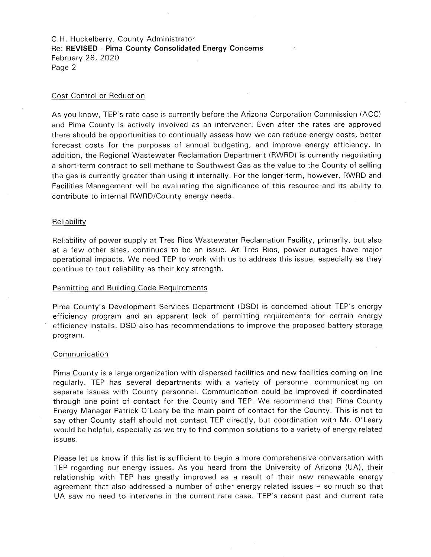C.H. Huckelberry, County Administrator Re: REVISED - Pima County Consolidated Energy Concerns February 28, 2020 Page 2

# Cost Control or Reduction

As you know, TEP's rate case is currently before the Arizona Corporation Commission (ACC) and Pima County is actively involved as an intervener. Even after the rates are approved there should be opportunities to continually assess how we can reduce energy costs, better forecast costs for the purposes of annual budgeting, and improve energy efficiency. In addition, the Regional Wastewater Reclamation Department (RWRD) is currently negotiating a short-term contract to sell methane to Southwest Gas as the value to the County of selling the gas is currently greater than using it internally. For the longer-term, however, RWRD and Facilities Management will be evaluating the significance of this resource and its ability to contribute to internal RWRD/County energy needs.

### Reliability

Reliability of power supply at Tres Rios Wastewater Reclamation Facility, primarily, but also at a few other sites, continues to be an issue. At Tres Rios, power outages have major operational impacts. We need TEP to work with us to address this issue, especially as they continue to tout reliability as their key strength.

## Permitting and Building Code Requirements

Pima County's Development Services Department (DSD) is concerned about TEP's energy efficiency program and an apparent lack of permitting requirements for certain energy efficiency installs. DSD also has recommendations to improve the proposed battery storage program.

### Communication

Pima County is a large organization with dispersed facilities and new facilities coming on line regularly. TEP has several departments with a variety of personnel communicating on separate issues with County personnel. Communication could be improved if coordinated through one point of contact for the County and TEP. We recommend that Pima County Energy Manager Patrick O'Leary be the main point of contact for the County. This is not to say other County staff should not contact TEP directly, but coordination with Mr. O'Leary would be helpful, especially as we try to find common solutions to a variety of energy related issues.

Please let us know if this list is sufficient to begin a more comprehensive conversation with TEP regarding our energy issues. As you heard from the University of Arizona (UA), their relationship with TEP has greatly improved as a result of their new renewable energy agreement that also addressed a number of other energy related issues  $-$  so much so that UA saw no need to intervene in the current rate case. TEP's recent past and current rate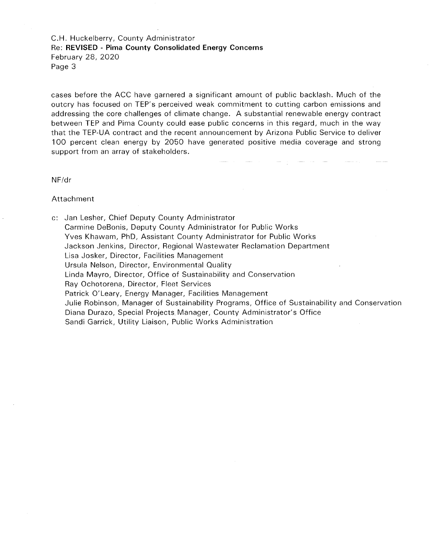C.H. Huckelberry, County Administrator Re: REVISED - Pima County Consolidated Energy Concerns February 28, 2020 Page 3

cases before the ACC have garnered a significant amount of public backlash. Much of the outcry has focused on TEP's perceived weak commitment to cutting carbon emissions and addressing the core challenges of climate change. A substantial renewable energy contract between TEP and Pima County could ease public concerns in this regard, much in the way that the TEP-UA contract and the recent announcement by Arizona Public Service to deliver 100 percent clean energy by 2050 have generated positive media coverage and strong support from an array of stakeholders.

 $NF/dr$ 

Attachment

c: Jan Lesher, Chief Deputy County Administrator Carmine DeBonis, Deputy County Administrator for Public Works Yves Khawam, PhD, Assistant County Administrator for Public Works Jackson Jenkins, Director, Regional Wastewater Reclamation Department Lisa Josker, Director, Facilities Management Ursula Nelson, Director, Environmental Quality Linda Mayro, Director, Office of Sustainability and Conservation Ray Ochotorena, Director, Fleet Services Patrick O'Leary, Energy Manager, Facilities Management Julie Robinson, Manager of Sustainability Programs, Office of Sustainability and Conservation Diana Durazo, Special Projects Manager, County Administrator's Office Sandi Garrick, Utility Liaison, Public Works Administration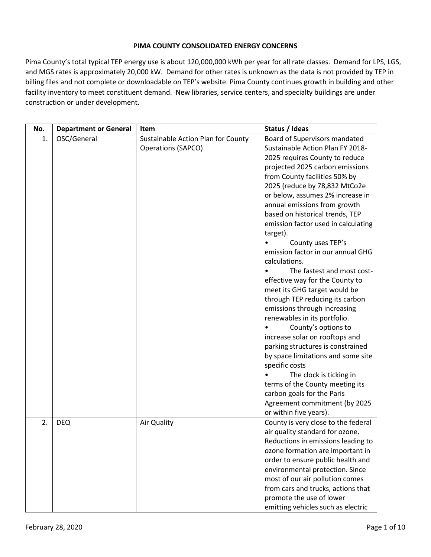# **PIMA COUNTY CONSOLIDATED ENERGY CONCERNS**

Pima County's total typical TEP energy use is about 120,000,000 kWh per year for all rate classes. Demand for LPS, LGS, and MGS rates is approximately 20,000 kW. Demand for other rates is unknown as the data is not provided by TEP in billing files and not complete or downloadable on TEP's website. Pima County continues growth in building and other facility inventory to meet constituent demand. New libraries, service centers, and specialty buildings are under construction or under development.

| No. | <b>Department or General</b> | Item                               | Status / Ideas                      |
|-----|------------------------------|------------------------------------|-------------------------------------|
| 1.  | OSC/General                  | Sustainable Action Plan for County | Board of Supervisors mandated       |
|     |                              | <b>Operations (SAPCO)</b>          | Sustainable Action Plan FY 2018-    |
|     |                              |                                    | 2025 requires County to reduce      |
|     |                              |                                    | projected 2025 carbon emissions     |
|     |                              |                                    | from County facilities 50% by       |
|     |                              |                                    | 2025 (reduce by 78,832 MtCo2e       |
|     |                              |                                    | or below, assumes 2% increase in    |
|     |                              |                                    | annual emissions from growth        |
|     |                              |                                    | based on historical trends, TEP     |
|     |                              |                                    | emission factor used in calculating |
|     |                              |                                    | target).                            |
|     |                              |                                    | County uses TEP's                   |
|     |                              |                                    | emission factor in our annual GHG   |
|     |                              |                                    | calculations.                       |
|     |                              |                                    | The fastest and most cost-          |
|     |                              |                                    | effective way for the County to     |
|     |                              |                                    | meet its GHG target would be        |
|     |                              |                                    | through TEP reducing its carbon     |
|     |                              |                                    | emissions through increasing        |
|     |                              |                                    | renewables in its portfolio.        |
|     |                              |                                    | County's options to                 |
|     |                              |                                    | increase solar on rooftops and      |
|     |                              |                                    | parking structures is constrained   |
|     |                              |                                    | by space limitations and some site  |
|     |                              |                                    | specific costs                      |
|     |                              |                                    | The clock is ticking in             |
|     |                              |                                    | terms of the County meeting its     |
|     |                              |                                    | carbon goals for the Paris          |
|     |                              |                                    | Agreement commitment (by 2025       |
|     |                              |                                    | or within five years).              |
| 2.  | <b>DEQ</b>                   | Air Quality                        | County is very close to the federal |
|     |                              |                                    | air quality standard for ozone.     |
|     |                              |                                    | Reductions in emissions leading to  |
|     |                              |                                    | ozone formation are important in    |
|     |                              |                                    | order to ensure public health and   |
|     |                              |                                    | environmental protection. Since     |
|     |                              |                                    | most of our air pollution comes     |
|     |                              |                                    | from cars and trucks, actions that  |
|     |                              |                                    | promote the use of lower            |
|     |                              |                                    | emitting vehicles such as electric  |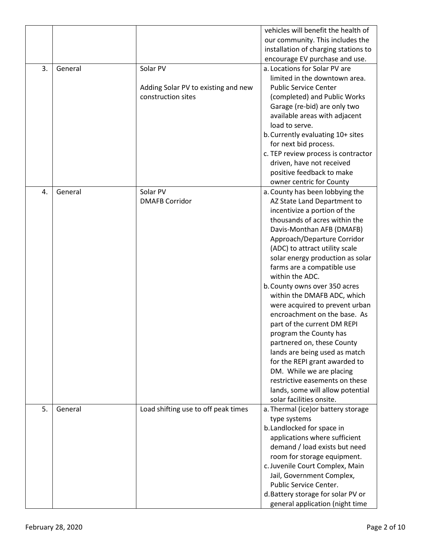|    |         |                                     | vehicles will benefit the health of  |
|----|---------|-------------------------------------|--------------------------------------|
|    |         |                                     | our community. This includes the     |
|    |         |                                     | installation of charging stations to |
|    |         |                                     | encourage EV purchase and use.       |
| 3. | General | Solar PV                            | a. Locations for Solar PV are        |
|    |         |                                     | limited in the downtown area.        |
|    |         | Adding Solar PV to existing and new | <b>Public Service Center</b>         |
|    |         | construction sites                  | (completed) and Public Works         |
|    |         |                                     | Garage (re-bid) are only two         |
|    |         |                                     | available areas with adjacent        |
|    |         |                                     | load to serve.                       |
|    |         |                                     | b. Currently evaluating 10+ sites    |
|    |         |                                     | for next bid process.                |
|    |         |                                     | c. TEP review process is contractor  |
|    |         |                                     | driven, have not received            |
|    |         |                                     | positive feedback to make            |
|    |         |                                     | owner centric for County             |
| 4. | General | Solar PV                            | a. County has been lobbying the      |
|    |         | <b>DMAFB Corridor</b>               | AZ State Land Department to          |
|    |         |                                     | incentivize a portion of the         |
|    |         |                                     | thousands of acres within the        |
|    |         |                                     | Davis-Monthan AFB (DMAFB)            |
|    |         |                                     | Approach/Departure Corridor          |
|    |         |                                     | (ADC) to attract utility scale       |
|    |         |                                     | solar energy production as solar     |
|    |         |                                     | farms are a compatible use           |
|    |         |                                     | within the ADC.                      |
|    |         |                                     | b. County owns over 350 acres        |
|    |         |                                     | within the DMAFB ADC, which          |
|    |         |                                     | were acquired to prevent urban       |
|    |         |                                     | encroachment on the base. As         |
|    |         |                                     | part of the current DM REPI          |
|    |         |                                     | program the County has               |
|    |         |                                     | partnered on, these County           |
|    |         |                                     | lands are being used as match        |
|    |         |                                     | for the REPI grant awarded to        |
|    |         |                                     | DM. While we are placing             |
|    |         |                                     | restrictive easements on these       |
|    |         |                                     | lands, some will allow potential     |
|    |         |                                     | solar facilities onsite.             |
| 5. | General | Load shifting use to off peak times | a. Thermal (ice) or battery storage  |
|    |         |                                     | type systems                         |
|    |         |                                     | b.Landlocked for space in            |
|    |         |                                     | applications where sufficient        |
|    |         |                                     | demand / load exists but need        |
|    |         |                                     | room for storage equipment.          |
|    |         |                                     | c. Juvenile Court Complex, Main      |
|    |         |                                     | Jail, Government Complex,            |
|    |         |                                     | Public Service Center.               |
|    |         |                                     | d. Battery storage for solar PV or   |
|    |         |                                     | general application (night time      |
|    |         |                                     |                                      |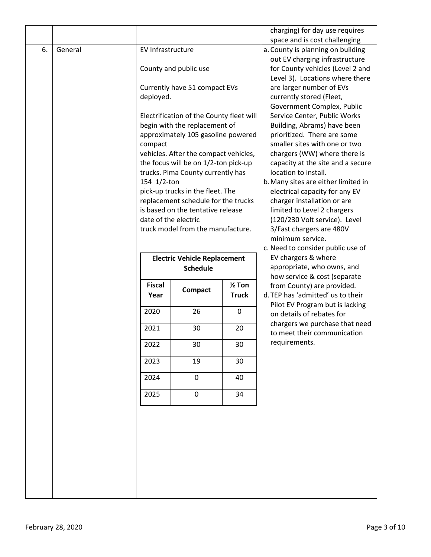|    |         |                      |                                                                          |                   | charging) for day use requires                                |
|----|---------|----------------------|--------------------------------------------------------------------------|-------------------|---------------------------------------------------------------|
|    |         |                      |                                                                          |                   | space and is cost challenging                                 |
| 6. | General | EV Infrastructure    |                                                                          |                   | a. County is planning on building                             |
|    |         |                      |                                                                          |                   | out EV charging infrastructure                                |
|    |         |                      | County and public use                                                    |                   | for County vehicles (Level 2 and                              |
|    |         |                      |                                                                          |                   | Level 3). Locations where there                               |
|    |         |                      | Currently have 51 compact EVs                                            |                   | are larger number of EVs                                      |
|    |         | deployed.            |                                                                          |                   | currently stored (Fleet,                                      |
|    |         |                      |                                                                          |                   | Government Complex, Public                                    |
|    |         |                      | Electrification of the County fleet will                                 |                   | Service Center, Public Works                                  |
|    |         |                      | begin with the replacement of                                            |                   | Building, Abrams) have been                                   |
|    |         |                      | approximately 105 gasoline powered                                       |                   | prioritized. There are some                                   |
|    |         | compact              |                                                                          |                   | smaller sites with one or two                                 |
|    |         |                      | vehicles. After the compact vehicles,                                    |                   | chargers (WW) where there is                                  |
|    |         |                      | the focus will be on 1/2-ton pick-up                                     |                   | capacity at the site and a secure                             |
|    |         |                      | trucks. Pima County currently has                                        |                   | location to install.                                          |
|    |         | 154 1/2-ton          |                                                                          |                   | b. Many sites are either limited in                           |
|    |         |                      | pick-up trucks in the fleet. The                                         |                   | electrical capacity for any EV                                |
|    |         |                      | replacement schedule for the trucks<br>is based on the tentative release |                   | charger installation or are<br>limited to Level 2 chargers    |
|    |         | date of the electric |                                                                          |                   | (120/230 Volt service). Level                                 |
|    |         |                      | truck model from the manufacture.                                        |                   | 3/Fast chargers are 480V                                      |
|    |         |                      |                                                                          |                   | minimum service.                                              |
|    |         |                      |                                                                          |                   | c. Need to consider public use of                             |
|    |         |                      | <b>Electric Vehicle Replacement</b>                                      |                   | EV chargers & where                                           |
|    |         |                      | <b>Schedule</b>                                                          |                   | appropriate, who owns, and                                    |
|    |         |                      |                                                                          |                   | how service & cost (separate                                  |
|    |         | <b>Fiscal</b>        |                                                                          | $\frac{1}{2}$ Ton | from County) are provided.                                    |
|    |         | Year                 | <b>Compact</b>                                                           | <b>Truck</b>      | d. TEP has 'admitted' us to their                             |
|    |         |                      |                                                                          |                   | Pilot EV Program but is lacking                               |
|    |         | 2020                 | 26                                                                       | $\mathbf 0$       | on details of rebates for                                     |
|    |         | 2021                 | 30                                                                       | 20                | chargers we purchase that need<br>to meet their communication |
|    |         | 2022                 | 30                                                                       | 30                | requirements.                                                 |
|    |         | 2023                 | 19                                                                       | 30                |                                                               |
|    |         | 2024                 | $\mathbf 0$                                                              | 40                |                                                               |
|    |         | 2025                 | 0                                                                        | 34                |                                                               |
|    |         |                      |                                                                          |                   |                                                               |
|    |         |                      |                                                                          |                   |                                                               |
|    |         |                      |                                                                          |                   |                                                               |
|    |         |                      |                                                                          |                   |                                                               |
|    |         |                      |                                                                          |                   |                                                               |
|    |         |                      |                                                                          |                   |                                                               |
|    |         |                      |                                                                          |                   |                                                               |
|    |         |                      |                                                                          |                   |                                                               |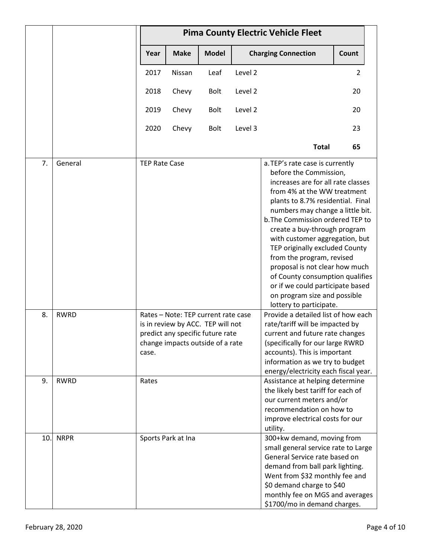|     |             | <b>Pima County Electric Vehicle Fleet</b> |                    |                                                                                                                                                  |         |                                                                                                                                                                                                                                                                                                                                                                                                                                                                                                                                                  |                |  |
|-----|-------------|-------------------------------------------|--------------------|--------------------------------------------------------------------------------------------------------------------------------------------------|---------|--------------------------------------------------------------------------------------------------------------------------------------------------------------------------------------------------------------------------------------------------------------------------------------------------------------------------------------------------------------------------------------------------------------------------------------------------------------------------------------------------------------------------------------------------|----------------|--|
|     |             | Year                                      | <b>Make</b>        | <b>Model</b>                                                                                                                                     |         | <b>Charging Connection</b>                                                                                                                                                                                                                                                                                                                                                                                                                                                                                                                       | Count          |  |
|     |             | 2017                                      | Nissan             | Leaf                                                                                                                                             | Level 2 |                                                                                                                                                                                                                                                                                                                                                                                                                                                                                                                                                  | $\overline{2}$ |  |
|     |             | 2018                                      | Chevy              | <b>Bolt</b>                                                                                                                                      | Level 2 |                                                                                                                                                                                                                                                                                                                                                                                                                                                                                                                                                  | 20             |  |
|     |             | 2019                                      | Chevy              | Bolt                                                                                                                                             | Level 2 |                                                                                                                                                                                                                                                                                                                                                                                                                                                                                                                                                  | 20             |  |
|     |             | 2020                                      | Chevy              | Bolt                                                                                                                                             | Level 3 |                                                                                                                                                                                                                                                                                                                                                                                                                                                                                                                                                  | 23             |  |
|     |             |                                           |                    |                                                                                                                                                  |         | <b>Total</b>                                                                                                                                                                                                                                                                                                                                                                                                                                                                                                                                     | 65             |  |
| 7.  | General     | <b>TEP Rate Case</b>                      |                    |                                                                                                                                                  |         | a. TEP's rate case is currently<br>before the Commission,<br>increases are for all rate classes<br>from 4% at the WW treatment<br>plants to 8.7% residential. Final<br>numbers may change a little bit.<br>b. The Commission ordered TEP to<br>create a buy-through program<br>with customer aggregation, but<br>TEP originally excluded County<br>from the program, revised<br>proposal is not clear how much<br>of County consumption qualifies<br>or if we could participate based<br>on program size and possible<br>lottery to participate. |                |  |
| 8.  | <b>RWRD</b> | case.                                     |                    | Rates - Note: TEP current rate case<br>is in review by ACC. TEP will not<br>predict any specific future rate<br>change impacts outside of a rate |         | Provide a detailed list of how each<br>rate/tariff will be impacted by<br>current and future rate changes<br>(specifically for our large RWRD<br>accounts). This is important<br>information as we try to budget<br>energy/electricity each fiscal year.                                                                                                                                                                                                                                                                                         |                |  |
| 9.  | <b>RWRD</b> | Rates                                     |                    |                                                                                                                                                  |         | Assistance at helping determine<br>the likely best tariff for each of<br>our current meters and/or<br>recommendation on how to<br>improve electrical costs for our<br>utility.                                                                                                                                                                                                                                                                                                                                                                   |                |  |
| 10. | <b>NRPR</b> |                                           | Sports Park at Ina |                                                                                                                                                  |         | 300+kw demand, moving from<br>small general service rate to Large<br>General Service rate based on<br>demand from ball park lighting.<br>Went from \$32 monthly fee and<br>\$0 demand charge to \$40<br>monthly fee on MGS and averages<br>\$1700/mo in demand charges.                                                                                                                                                                                                                                                                          |                |  |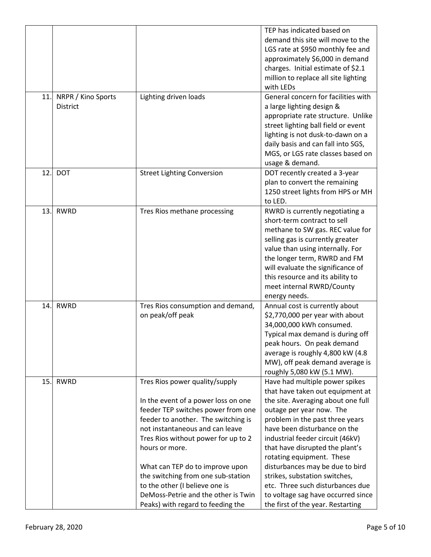|     |                                |                                                                                                                                                                                                                                                                                                                                                                                                                                       | TEP has indicated based on<br>demand this site will move to the<br>LGS rate at \$950 monthly fee and<br>approximately \$6,000 in demand<br>charges. Initial estimate of \$2.1<br>million to replace all site lighting<br>with LEDs<br>General concern for facilities with                                                                                                                                                                                                                      |
|-----|--------------------------------|---------------------------------------------------------------------------------------------------------------------------------------------------------------------------------------------------------------------------------------------------------------------------------------------------------------------------------------------------------------------------------------------------------------------------------------|------------------------------------------------------------------------------------------------------------------------------------------------------------------------------------------------------------------------------------------------------------------------------------------------------------------------------------------------------------------------------------------------------------------------------------------------------------------------------------------------|
| 11. | NRPR / Kino Sports<br>District | Lighting driven loads                                                                                                                                                                                                                                                                                                                                                                                                                 | a large lighting design &<br>appropriate rate structure. Unlike<br>street lighting ball field or event<br>lighting is not dusk-to-dawn on a<br>daily basis and can fall into SGS,<br>MGS, or LGS rate classes based on<br>usage & demand.                                                                                                                                                                                                                                                      |
| 12. | <b>DOT</b>                     | <b>Street Lighting Conversion</b>                                                                                                                                                                                                                                                                                                                                                                                                     | DOT recently created a 3-year<br>plan to convert the remaining<br>1250 street lights from HPS or MH<br>to LED.                                                                                                                                                                                                                                                                                                                                                                                 |
| 13. | <b>RWRD</b>                    | Tres Rios methane processing                                                                                                                                                                                                                                                                                                                                                                                                          | RWRD is currently negotiating a<br>short-term contract to sell<br>methane to SW gas. REC value for<br>selling gas is currently greater<br>value than using internally. For<br>the longer term, RWRD and FM<br>will evaluate the significance of<br>this resource and its ability to<br>meet internal RWRD/County<br>energy needs.                                                                                                                                                              |
| 14. | <b>RWRD</b>                    | Tres Rios consumption and demand,<br>on peak/off peak                                                                                                                                                                                                                                                                                                                                                                                 | Annual cost is currently about<br>\$2,770,000 per year with about<br>34,000,000 kWh consumed.<br>Typical max demand is during off<br>peak hours. On peak demand<br>average is roughly 4,800 kW (4.8)<br>MW), off peak demand average is<br>roughly 5,080 kW (5.1 MW).                                                                                                                                                                                                                          |
| 15. | <b>RWRD</b>                    | Tres Rios power quality/supply<br>In the event of a power loss on one<br>feeder TEP switches power from one<br>feeder to another. The switching is<br>not instantaneous and can leave<br>Tres Rios without power for up to 2<br>hours or more.<br>What can TEP do to improve upon<br>the switching from one sub-station<br>to the other (I believe one is<br>DeMoss-Petrie and the other is Twin<br>Peaks) with regard to feeding the | Have had multiple power spikes<br>that have taken out equipment at<br>the site. Averaging about one full<br>outage per year now. The<br>problem in the past three years<br>have been disturbance on the<br>industrial feeder circuit (46kV)<br>that have disrupted the plant's<br>rotating equipment. These<br>disturbances may be due to bird<br>strikes, substation switches,<br>etc. Three such disturbances due<br>to voltage sag have occurred since<br>the first of the year. Restarting |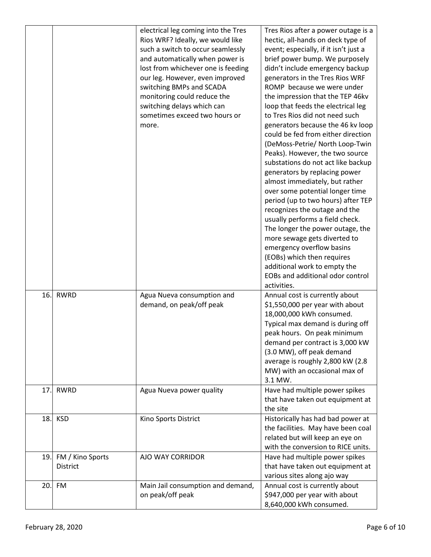| 16. | <b>RWRD</b>                  | electrical leg coming into the Tres<br>Rios WRF? Ideally, we would like<br>such a switch to occur seamlessly<br>and automatically when power is<br>lost from whichever one is feeding<br>our leg. However, even improved<br>switching BMPs and SCADA<br>monitoring could reduce the<br>switching delays which can<br>sometimes exceed two hours or<br>more.<br>Agua Nueva consumption and | Tres Rios after a power outage is a<br>hectic, all-hands on deck type of<br>event; especially, if it isn't just a<br>brief power bump. We purposely<br>didn't include emergency backup<br>generators in the Tres Rios WRF<br>ROMP because we were under<br>the impression that the TEP 46kv<br>loop that feeds the electrical leg<br>to Tres Rios did not need such<br>generators because the 46 kv loop<br>could be fed from either direction<br>(DeMoss-Petrie/ North Loop-Twin<br>Peaks). However, the two source<br>substations do not act like backup<br>generators by replacing power<br>almost immediately, but rather<br>over some potential longer time<br>period (up to two hours) after TEP<br>recognizes the outage and the<br>usually performs a field check.<br>The longer the power outage, the<br>more sewage gets diverted to<br>emergency overflow basins<br>(EOBs) which then requires<br>additional work to empty the<br>EOBs and additional odor control<br>activities.<br>Annual cost is currently about |
|-----|------------------------------|-------------------------------------------------------------------------------------------------------------------------------------------------------------------------------------------------------------------------------------------------------------------------------------------------------------------------------------------------------------------------------------------|--------------------------------------------------------------------------------------------------------------------------------------------------------------------------------------------------------------------------------------------------------------------------------------------------------------------------------------------------------------------------------------------------------------------------------------------------------------------------------------------------------------------------------------------------------------------------------------------------------------------------------------------------------------------------------------------------------------------------------------------------------------------------------------------------------------------------------------------------------------------------------------------------------------------------------------------------------------------------------------------------------------------------------|
|     |                              | demand, on peak/off peak                                                                                                                                                                                                                                                                                                                                                                  | \$1,550,000 per year with about<br>18,000,000 kWh consumed.<br>Typical max demand is during off<br>peak hours. On peak minimum<br>demand per contract is 3,000 kW<br>(3.0 MW), off peak demand<br>average is roughly 2,800 kW (2.8<br>MW) with an occasional max of<br>3.1 MW.                                                                                                                                                                                                                                                                                                                                                                                                                                                                                                                                                                                                                                                                                                                                                 |
| 17. | <b>RWRD</b>                  | Agua Nueva power quality                                                                                                                                                                                                                                                                                                                                                                  | Have had multiple power spikes<br>that have taken out equipment at<br>the site                                                                                                                                                                                                                                                                                                                                                                                                                                                                                                                                                                                                                                                                                                                                                                                                                                                                                                                                                 |
| 18. | <b>KSD</b>                   | Kino Sports District                                                                                                                                                                                                                                                                                                                                                                      | Historically has had bad power at<br>the facilities. May have been coal<br>related but will keep an eye on<br>with the conversion to RICE units.                                                                                                                                                                                                                                                                                                                                                                                                                                                                                                                                                                                                                                                                                                                                                                                                                                                                               |
| 19. | FM / Kino Sports<br>District | AJO WAY CORRIDOR                                                                                                                                                                                                                                                                                                                                                                          | Have had multiple power spikes<br>that have taken out equipment at<br>various sites along ajo way                                                                                                                                                                                                                                                                                                                                                                                                                                                                                                                                                                                                                                                                                                                                                                                                                                                                                                                              |
| 20. | <b>FM</b>                    | Main Jail consumption and demand,<br>on peak/off peak                                                                                                                                                                                                                                                                                                                                     | Annual cost is currently about<br>\$947,000 per year with about<br>8,640,000 kWh consumed.                                                                                                                                                                                                                                                                                                                                                                                                                                                                                                                                                                                                                                                                                                                                                                                                                                                                                                                                     |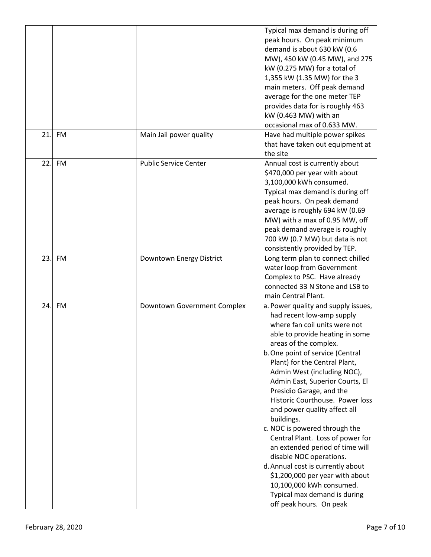| 21. | <b>FM</b> | Main Jail power quality      | Typical max demand is during off<br>peak hours. On peak minimum<br>demand is about 630 kW (0.6<br>MW), 450 kW (0.45 MW), and 275<br>kW (0.275 MW) for a total of<br>1,355 kW (1.35 MW) for the 3<br>main meters. Off peak demand<br>average for the one meter TEP<br>provides data for is roughly 463<br>kW (0.463 MW) with an<br>occasional max of 0.633 MW.<br>Have had multiple power spikes                                                                                                                                                                                                                                                                                                                     |
|-----|-----------|------------------------------|---------------------------------------------------------------------------------------------------------------------------------------------------------------------------------------------------------------------------------------------------------------------------------------------------------------------------------------------------------------------------------------------------------------------------------------------------------------------------------------------------------------------------------------------------------------------------------------------------------------------------------------------------------------------------------------------------------------------|
|     |           |                              | that have taken out equipment at<br>the site                                                                                                                                                                                                                                                                                                                                                                                                                                                                                                                                                                                                                                                                        |
| 22. | <b>FM</b> | <b>Public Service Center</b> | Annual cost is currently about<br>\$470,000 per year with about<br>3,100,000 kWh consumed.<br>Typical max demand is during off<br>peak hours. On peak demand<br>average is roughly 694 kW (0.69<br>MW) with a max of 0.95 MW, off<br>peak demand average is roughly<br>700 kW (0.7 MW) but data is not<br>consistently provided by TEP.                                                                                                                                                                                                                                                                                                                                                                             |
| 23. | <b>FM</b> | Downtown Energy District     | Long term plan to connect chilled<br>water loop from Government<br>Complex to PSC. Have already<br>connected 33 N Stone and LSB to<br>main Central Plant.                                                                                                                                                                                                                                                                                                                                                                                                                                                                                                                                                           |
| 24. | FM        | Downtown Government Complex  | a. Power quality and supply issues,<br>had recent low-amp supply<br>where fan coil units were not<br>able to provide heating in some<br>areas of the complex.<br>b. One point of service (Central<br>Plant) for the Central Plant,<br>Admin West (including NOC),<br>Admin East, Superior Courts, El<br>Presidio Garage, and the<br>Historic Courthouse. Power loss<br>and power quality affect all<br>buildings.<br>c. NOC is powered through the<br>Central Plant. Loss of power for<br>an extended period of time will<br>disable NOC operations.<br>d. Annual cost is currently about<br>\$1,200,000 per year with about<br>10,100,000 kWh consumed.<br>Typical max demand is during<br>off peak hours. On peak |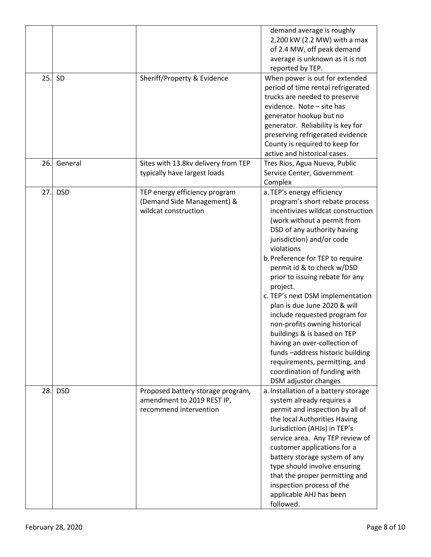|     |            |                                                                                           | demand average is roughly<br>2,200 kW (2.2 MW) with a max<br>of 2.4 MW, off peak demand<br>average is unknown as it is not<br>reported by TEP.                                                                                                                                                                                                                                                                                                                                                                                                                                                                                                                          |
|-----|------------|-------------------------------------------------------------------------------------------|-------------------------------------------------------------------------------------------------------------------------------------------------------------------------------------------------------------------------------------------------------------------------------------------------------------------------------------------------------------------------------------------------------------------------------------------------------------------------------------------------------------------------------------------------------------------------------------------------------------------------------------------------------------------------|
| 25. | SD         | Sheriff/Property & Evidence                                                               | When power is out for extended<br>period of time rental refrigerated<br>trucks are needed to preserve<br>evidence. Note - site has<br>generator hookup but no<br>generator. Reliability is key for<br>preserving refrigerated evidence<br>County is required to keep for<br>active and historical cases.                                                                                                                                                                                                                                                                                                                                                                |
| 26. | General    | Sites with 13.8kv delivery from TEP<br>typically have largest loads                       | Tres Rios, Agua Nueva, Public<br>Service Center, Government                                                                                                                                                                                                                                                                                                                                                                                                                                                                                                                                                                                                             |
| 27. | <b>DSD</b> | TEP energy efficiency program<br>(Demand Side Management) &<br>wildcat construction       | Complex<br>a. TEP's energy efficiency<br>program's short rebate process<br>incentivizes wildcat construction<br>(work without a permit from<br>DSD of any authority having<br>jurisdiction) and/or code<br>violations<br>b. Preference for TEP to require<br>permit id & to check w/DSD<br>prior to issuing rebate for any<br>project.<br>c. TEP's next DSM implementation<br>plan is due June 2020 & will<br>include requested program for<br>non-profits owning historical<br>buildings & is based on TEP<br>having an over-collection of<br>funds-address historic building<br>requirements, permitting, and<br>coordination of funding with<br>DSM adjustor changes |
| 28. | <b>DSD</b> | Proposed battery storage program,<br>amendment to 2019 REST IP,<br>recommend intervention | a. Installation of a battery storage<br>system already requires a<br>permit and inspection by all of<br>the local Authorities Having<br>Jurisdiction (AHJs) in TEP's<br>service area. Any TEP review of<br>customer applications for a<br>battery storage system of any<br>type should involve ensuring<br>that the proper permitting and<br>inspection process of the<br>applicable AHJ has been<br>followed.                                                                                                                                                                                                                                                          |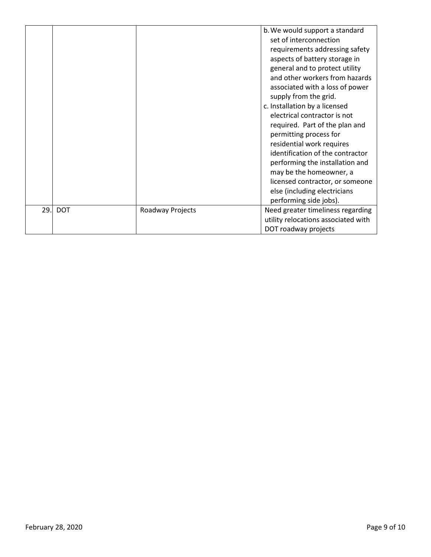|     |            |                  | b. We would support a standard<br>set of interconnection<br>requirements addressing safety<br>aspects of battery storage in<br>general and to protect utility<br>and other workers from hazards<br>associated with a loss of power<br>supply from the grid.<br>c. Installation by a licensed<br>electrical contractor is not<br>required. Part of the plan and<br>permitting process for<br>residential work requires<br>identification of the contractor<br>performing the installation and<br>may be the homeowner, a<br>licensed contractor, or someone<br>else (including electricians<br>performing side jobs). |
|-----|------------|------------------|----------------------------------------------------------------------------------------------------------------------------------------------------------------------------------------------------------------------------------------------------------------------------------------------------------------------------------------------------------------------------------------------------------------------------------------------------------------------------------------------------------------------------------------------------------------------------------------------------------------------|
| 29. | <b>DOT</b> | Roadway Projects | Need greater timeliness regarding<br>utility relocations associated with<br>DOT roadway projects                                                                                                                                                                                                                                                                                                                                                                                                                                                                                                                     |